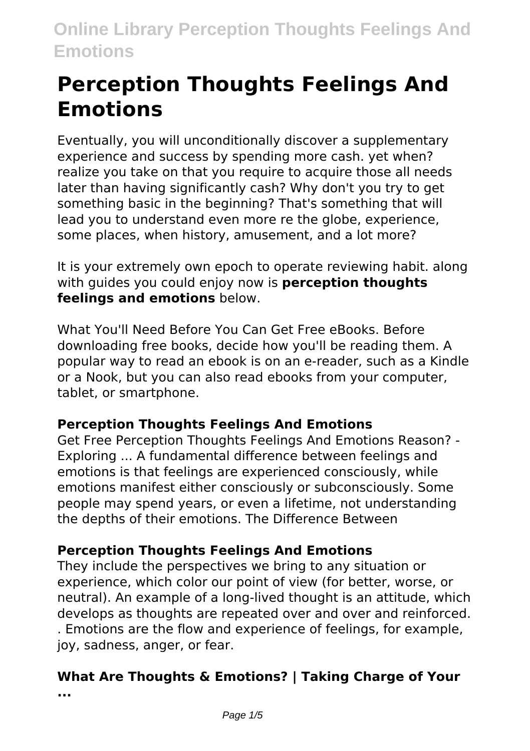# **Perception Thoughts Feelings And Emotions**

Eventually, you will unconditionally discover a supplementary experience and success by spending more cash. yet when? realize you take on that you require to acquire those all needs later than having significantly cash? Why don't you try to get something basic in the beginning? That's something that will lead you to understand even more re the globe, experience, some places, when history, amusement, and a lot more?

It is your extremely own epoch to operate reviewing habit. along with guides you could enjoy now is **perception thoughts feelings and emotions** below.

What You'll Need Before You Can Get Free eBooks. Before downloading free books, decide how you'll be reading them. A popular way to read an ebook is on an e-reader, such as a Kindle or a Nook, but you can also read ebooks from your computer, tablet, or smartphone.

# **Perception Thoughts Feelings And Emotions**

Get Free Perception Thoughts Feelings And Emotions Reason? - Exploring ... A fundamental difference between feelings and emotions is that feelings are experienced consciously, while emotions manifest either consciously or subconsciously. Some people may spend years, or even a lifetime, not understanding the depths of their emotions. The Difference Between

# **Perception Thoughts Feelings And Emotions**

They include the perspectives we bring to any situation or experience, which color our point of view (for better, worse, or neutral). An example of a long-lived thought is an attitude, which develops as thoughts are repeated over and over and reinforced. . Emotions are the flow and experience of feelings, for example, joy, sadness, anger, or fear.

#### **What Are Thoughts & Emotions? | Taking Charge of Your ...**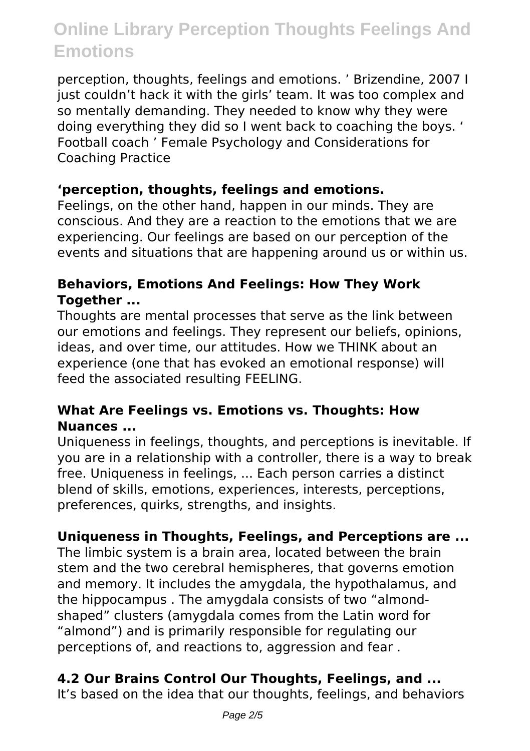perception, thoughts, feelings and emotions. ' Brizendine, 2007 I just couldn't hack it with the girls' team. It was too complex and so mentally demanding. They needed to know why they were doing everything they did so I went back to coaching the boys. ' Football coach ' Female Psychology and Considerations for Coaching Practice

### **'perception, thoughts, feelings and emotions.**

Feelings, on the other hand, happen in our minds. They are conscious. And they are a reaction to the emotions that we are experiencing. Our feelings are based on our perception of the events and situations that are happening around us or within us.

### **Behaviors, Emotions And Feelings: How They Work Together ...**

Thoughts are mental processes that serve as the link between our emotions and feelings. They represent our beliefs, opinions, ideas, and over time, our attitudes. How we THINK about an experience (one that has evoked an emotional response) will feed the associated resulting FEELING.

#### **What Are Feelings vs. Emotions vs. Thoughts: How Nuances ...**

Uniqueness in feelings, thoughts, and perceptions is inevitable. If you are in a relationship with a controller, there is a way to break free. Uniqueness in feelings, ... Each person carries a distinct blend of skills, emotions, experiences, interests, perceptions, preferences, quirks, strengths, and insights.

# **Uniqueness in Thoughts, Feelings, and Perceptions are ...**

The limbic system is a brain area, located between the brain stem and the two cerebral hemispheres, that governs emotion and memory. It includes the amygdala, the hypothalamus, and the hippocampus . The amygdala consists of two "almondshaped" clusters (amygdala comes from the Latin word for "almond") and is primarily responsible for regulating our perceptions of, and reactions to, aggression and fear .

# **4.2 Our Brains Control Our Thoughts, Feelings, and ...**

It's based on the idea that our thoughts, feelings, and behaviors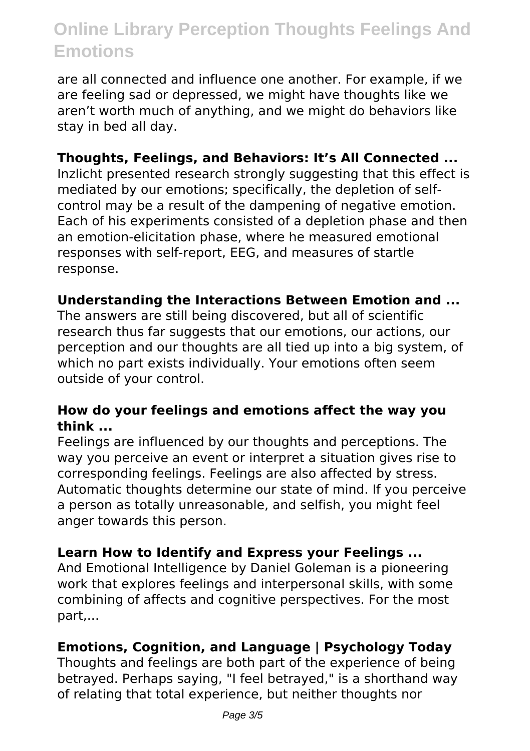are all connected and influence one another. For example, if we are feeling sad or depressed, we might have thoughts like we aren't worth much of anything, and we might do behaviors like stay in bed all day.

#### **Thoughts, Feelings, and Behaviors: It's All Connected ...**

Inzlicht presented research strongly suggesting that this effect is mediated by our emotions; specifically, the depletion of selfcontrol may be a result of the dampening of negative emotion. Each of his experiments consisted of a depletion phase and then an emotion-elicitation phase, where he measured emotional responses with self-report, EEG, and measures of startle response.

#### **Understanding the Interactions Between Emotion and ...**

The answers are still being discovered, but all of scientific research thus far suggests that our emotions, our actions, our perception and our thoughts are all tied up into a big system, of which no part exists individually. Your emotions often seem outside of your control.

#### **How do your feelings and emotions affect the way you think ...**

Feelings are influenced by our thoughts and perceptions. The way you perceive an event or interpret a situation gives rise to corresponding feelings. Feelings are also affected by stress. Automatic thoughts determine our state of mind. If you perceive a person as totally unreasonable, and selfish, you might feel anger towards this person.

#### **Learn How to Identify and Express your Feelings ...**

And Emotional Intelligence by Daniel Goleman is a pioneering work that explores feelings and interpersonal skills, with some combining of affects and cognitive perspectives. For the most part,...

#### **Emotions, Cognition, and Language | Psychology Today**

Thoughts and feelings are both part of the experience of being betrayed. Perhaps saying, "I feel betrayed," is a shorthand way of relating that total experience, but neither thoughts nor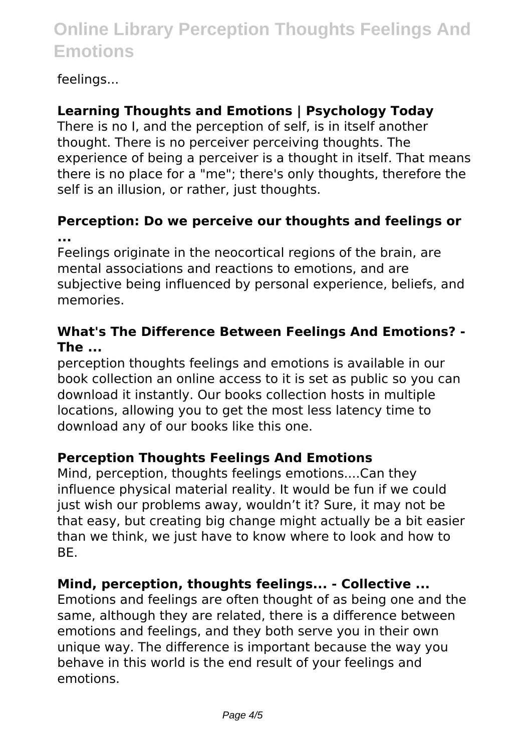### feelings...

# **Learning Thoughts and Emotions | Psychology Today**

There is no I, and the perception of self, is in itself another thought. There is no perceiver perceiving thoughts. The experience of being a perceiver is a thought in itself. That means there is no place for a "me"; there's only thoughts, therefore the self is an illusion, or rather, just thoughts.

#### **Perception: Do we perceive our thoughts and feelings or ...**

Feelings originate in the neocortical regions of the brain, are mental associations and reactions to emotions, and are subjective being influenced by personal experience, beliefs, and memories.

#### **What's The Difference Between Feelings And Emotions? - The ...**

perception thoughts feelings and emotions is available in our book collection an online access to it is set as public so you can download it instantly. Our books collection hosts in multiple locations, allowing you to get the most less latency time to download any of our books like this one.

#### **Perception Thoughts Feelings And Emotions**

Mind, perception, thoughts feelings emotions....Can they influence physical material reality. It would be fun if we could just wish our problems away, wouldn't it? Sure, it may not be that easy, but creating big change might actually be a bit easier than we think, we just have to know where to look and how to BE.

# **Mind, perception, thoughts feelings... - Collective ...**

Emotions and feelings are often thought of as being one and the same, although they are related, there is a difference between emotions and feelings, and they both serve you in their own unique way. The difference is important because the way you behave in this world is the end result of your feelings and emotions.